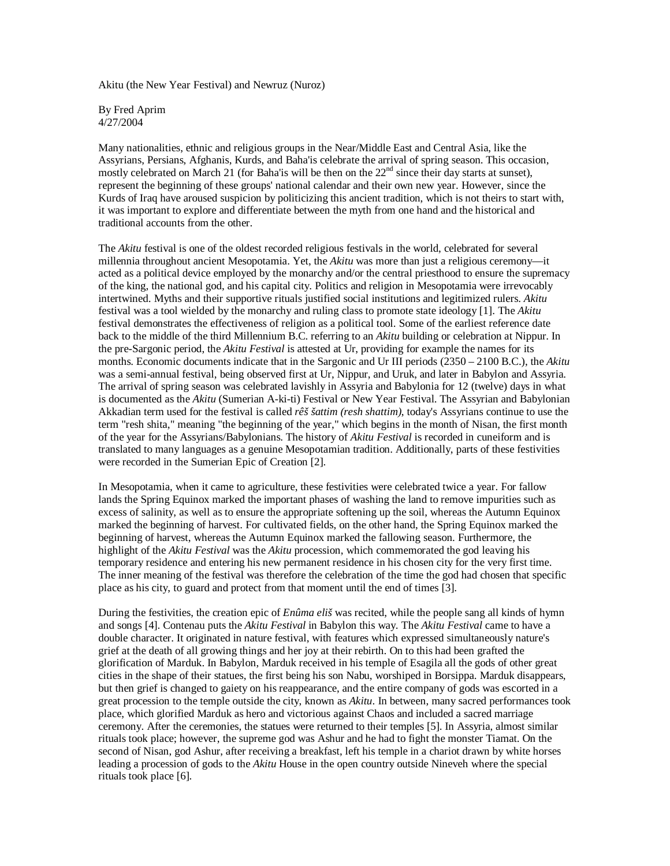Akitu (the New Year Festival) and Newruz (Nuroz)

By Fred Aprim 4/27/2004

Many nationalities, ethnic and religious groups in the Near/Middle East and Central Asia, like the Assyrians, Persians, Afghanis, Kurds, and Baha'is celebrate the arrival of spring season. This occasion, mostly celebrated on March 21 (for Baha'is will be then on the  $22<sup>nd</sup>$  since their day starts at sunset), represent the beginning of these groups' national calendar and their own new year. However, since the Kurds of Iraq have aroused suspicion by politicizing this ancient tradition, which is not theirs to start with, it was important to explore and differentiate between the myth from one hand and the historical and traditional accounts from the other.

The *Akitu* festival is one of the oldest recorded religious festivals in the world, celebrated for several millennia throughout ancient Mesopotamia. Yet, the *Akitu* was more than just a religious ceremony—it acted as a political device employed by the monarchy and/or the central priesthood to ensure the supremacy of the king, the national god, and his capital city. Politics and religion in Mesopotamia were irrevocably intertwined. Myths and their supportive rituals justified social institutions and legitimized rulers. *Akitu* festival was a tool wielded by the monarchy and ruling class to promote state ideology [1]. The *Akitu* festival demonstrates the effectiveness of religion as a political tool. Some of the earliest reference date back to the middle of the third Millennium B.C. referring to an *Akitu* building or celebration at Nippur. In the pre-Sargonic period, the *Akitu Festival* is attested at Ur, providing for example the names for its months. Economic documents indicate that in the Sargonic and Ur III periods (2350 – 2100 B.C.), the *Akitu* was a semi-annual festival, being observed first at Ur, Nippur, and Uruk, and later in Babylon and Assyria. The arrival of spring season was celebrated lavishly in Assyria and Babylonia for 12 (twelve) days in what is documented as the *Akitu* (Sumerian A-ki-ti) Festival or New Year Festival. The Assyrian and Babylonian Akkadian term used for the festival is called *rêš šattim (resh shattim)*, today's Assyrians continue to use the term "resh shita," meaning "the beginning of the year," which begins in the month of Nisan, the first month of the year for the Assyrians/Babylonians. The history of *Akitu Festival* is recorded in cuneiform and is translated to many languages as a genuine Mesopotamian tradition. Additionally, parts of these festivities were recorded in the Sumerian Epic of Creation [2].

In Mesopotamia, when it came to agriculture, these festivities were celebrated twice a year. For fallow lands the Spring Equinox marked the important phases of washing the land to remove impurities such as excess of salinity, as well as to ensure the appropriate softening up the soil, whereas the Autumn Equinox marked the beginning of harvest. For cultivated fields, on the other hand, the Spring Equinox marked the beginning of harvest, whereas the Autumn Equinox marked the fallowing season. Furthermore, the highlight of the *Akitu Festival* was the *Akitu* procession, which commemorated the god leaving his temporary residence and entering his new permanent residence in his chosen city for the very first time. The inner meaning of the festival was therefore the celebration of the time the god had chosen that specific place as his city, to guard and protect from that moment until the end of times [3].

During the festivities, the creation epic of *Enûma eliš* was recited, while the people sang all kinds of hymn and songs [4]. Contenau puts the *Akitu Festival* in Babylon this way. The *Akitu Festival* came to have a double character. It originated in nature festival, with features which expressed simultaneously nature's grief at the death of all growing things and her joy at their rebirth. On to this had been grafted the glorification of Marduk. In Babylon, Marduk received in his temple of Esagila all the gods of other great cities in the shape of their statues, the first being his son Nabu, worshiped in Borsippa. Marduk disappears, but then grief is changed to gaiety on his reappearance, and the entire company of gods was escorted in a great procession to the temple outside the city, known as *Akitu*. In between, many sacred performances took place, which glorified Marduk as hero and victorious against Chaos and included a sacred marriage ceremony. After the ceremonies, the statues were returned to their temples [5]. In Assyria, almost similar rituals took place; however, the supreme god was Ashur and he had to fight the monster Tiamat. On the second of Nisan, god Ashur, after receiving a breakfast, left his temple in a chariot drawn by white horses leading a procession of gods to the *Akitu* House in the open country outside Nineveh where the special rituals took place [6].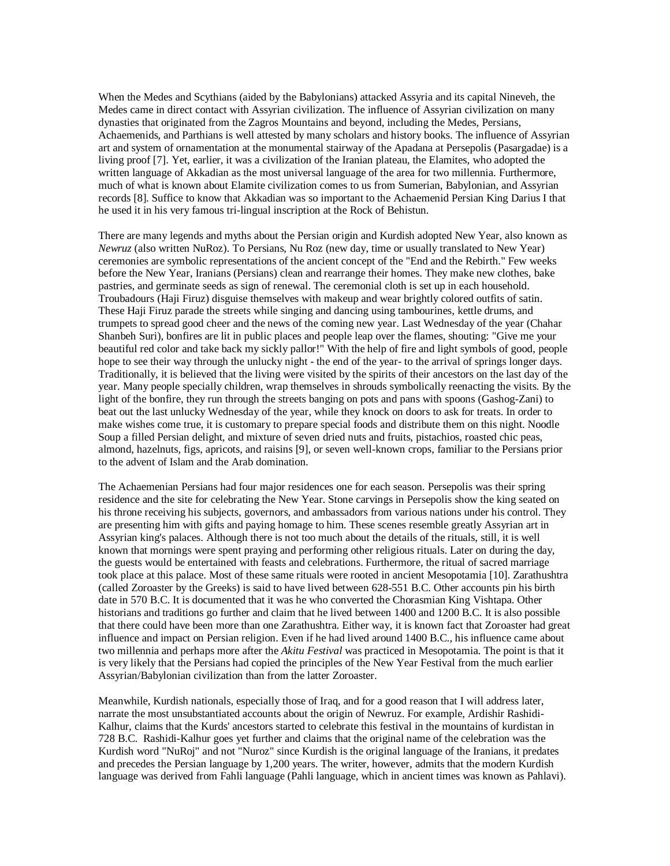When the Medes and Scythians (aided by the Babylonians) attacked Assyria and its capital Nineveh, the Medes came in direct contact with Assyrian civilization. The influence of Assyrian civilization on many dynasties that originated from the Zagros Mountains and beyond, including the Medes, Persians, Achaemenids, and Parthians is well attested by many scholars and history books. The influence of Assyrian art and system of ornamentation at the monumental stairway of the Apadana at Persepolis (Pasargadae) is a living proof [7]. Yet, earlier, it was a civilization of the Iranian plateau, the Elamites, who adopted the written language of Akkadian as the most universal language of the area for two millennia. Furthermore, much of what is known about Elamite civilization comes to us from Sumerian, Babylonian, and Assyrian records [8]. Suffice to know that Akkadian was so important to the Achaemenid Persian King Darius I that he used it in his very famous tri-lingual inscription at the Rock of Behistun.

There are many legends and myths about the Persian origin and Kurdish adopted New Year, also known as *Newruz* (also written NuRoz). To Persians, Nu Roz (new day, time or usually translated to New Year) ceremonies are symbolic representations of the ancient concept of the "End and the Rebirth." Few weeks before the New Year, Iranians (Persians) clean and rearrange their homes. They make new clothes, bake pastries, and germinate seeds as sign of renewal. The ceremonial cloth is set up in each household. Troubadours (Haji Firuz) disguise themselves with makeup and wear brightly colored outfits of satin. These Haji Firuz parade the streets while singing and dancing using tambourines, kettle drums, and trumpets to spread good cheer and the news of the coming new year. Last Wednesday of the year (Chahar Shanbeh Suri), bonfires are lit in public places and people leap over the flames, shouting: "Give me your beautiful red color and take back my sickly pallor!" With the help of fire and light symbols of good, people hope to see their way through the unlucky night - the end of the year- to the arrival of springs longer days. Traditionally, it is believed that the living were visited by the spirits of their ancestors on the last day of the year. Many people specially children, wrap themselves in shrouds symbolically reenacting the visits. By the light of the bonfire, they run through the streets banging on pots and pans with spoons (Gashog-Zani) to beat out the last unlucky Wednesday of the year, while they knock on doors to ask for treats. In order to make wishes come true, it is customary to prepare special foods and distribute them on this night. Noodle Soup a filled Persian delight, and mixture of seven dried nuts and fruits, pistachios, roasted chic peas, almond, hazelnuts, figs, apricots, and raisins [9], or seven well-known crops, familiar to the Persians prior to the advent of Islam and the Arab domination.

The Achaemenian Persians had four major residences one for each season. Persepolis was their spring residence and the site for celebrating the New Year. Stone carvings in Persepolis show the king seated on his throne receiving his subjects, governors, and ambassadors from various nations under his control. They are presenting him with gifts and paying homage to him. These scenes resemble greatly Assyrian art in Assyrian king's palaces. Although there is not too much about the details of the rituals, still, it is well known that mornings were spent praying and performing other religious rituals. Later on during the day, the guests would be entertained with feasts and celebrations. Furthermore, the ritual of sacred marriage took place at this palace. Most of these same rituals were rooted in ancient Mesopotamia [10]. Zarathushtra (called Zoroaster by the Greeks) is said to have lived between 628-551 B.C. Other accounts pin his birth date in 570 B.C. It is documented that it was he who converted the Chorasmian King Vishtapa. Other historians and traditions go further and claim that he lived between 1400 and 1200 B.C. It is also possible that there could have been more than one Zarathushtra. Either way, it is known fact that Zoroaster had great influence and impact on Persian religion. Even if he had lived around 1400 B.C., his influence came about two millennia and perhaps more after the *Akitu Festival* was practiced in Mesopotamia. The point is that it is very likely that the Persians had copied the principles of the New Year Festival from the much earlier Assyrian/Babylonian civilization than from the latter Zoroaster.

Meanwhile, Kurdish nationals, especially those of Iraq, and for a good reason that I will address later, narrate the most unsubstantiated accounts about the origin of Newruz. For example, Ardishir Rashidi-Kalhur, claims that the Kurds' ancestors started to celebrate this festival in the mountains of kurdistan in 728 B.C. Rashidi-Kalhur goes yet further and claims that the original name of the celebration was the Kurdish word "NuRoj" and not "Nuroz" since Kurdish is the original language of the Iranians, it predates and precedes the Persian language by 1,200 years. The writer, however, admits that the modern Kurdish language was derived from Fahli language (Pahli language, which in ancient times was known as Pahlavi).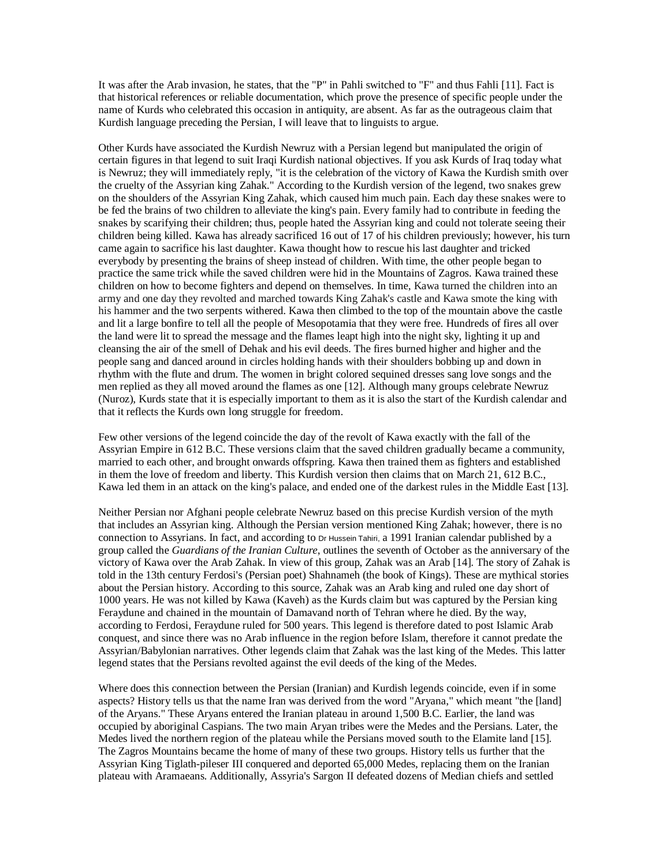It was after the Arab invasion, he states, that the "P" in Pahli switched to "F" and thus Fahli [11]. Fact is that historical references or reliable documentation, which prove the presence of specific people under the name of Kurds who celebrated this occasion in antiquity, are absent. As far as the outrageous claim that Kurdish language preceding the Persian, I will leave that to linguists to argue.

Other Kurds have associated the Kurdish Newruz with a Persian legend but manipulated the origin of certain figures in that legend to suit Iraqi Kurdish national objectives. If you ask Kurds of Iraq today what is Newruz; they will immediately reply, "it is the celebration of the victory of Kawa the Kurdish smith over the cruelty of the Assyrian king Zahak." According to the Kurdish version of the legend, two snakes grew on the shoulders of the Assyrian King Zahak, which caused him much pain. Each day these snakes were to be fed the brains of two children to alleviate the king's pain. Every family had to contribute in feeding the snakes by scarifying their children; thus, people hated the Assyrian king and could not tolerate seeing their children being killed. Kawa has already sacrificed 16 out of 17 of his children previously; however, his turn came again to sacrifice his last daughter. Kawa thought how to rescue his last daughter and tricked everybody by presenting the brains of sheep instead of children. With time, the other people began to practice the same trick while the saved children were hid in the Mountains of Zagros. Kawa trained these children on how to become fighters and depend on themselves. In time, Kawa turned the children into an army and one day they revolted and marched towards King Zahak's castle and Kawa smote the king with his hammer and the two serpents withered. Kawa then climbed to the top of the mountain above the castle and lit a large bonfire to tell all the people of Mesopotamia that they were free. Hundreds of fires all over the land were lit to spread the message and the flames leapt high into the night sky, lighting it up and cleansing the air of the smell of Dehak and his evil deeds. The fires burned higher and higher and the people sang and danced around in circles holding hands with their shoulders bobbing up and down in rhythm with the flute and drum. The women in bright colored sequined dresses sang love songs and the men replied as they all moved around the flames as one [12]. Although many groups celebrate Newruz (Nuroz), Kurds state that it is especially important to them as it is also the start of the Kurdish calendar and that it reflects the Kurds own long struggle for freedom.

Few other versions of the legend coincide the day of the revolt of Kawa exactly with the fall of the Assyrian Empire in 612 B.C. These versions claim that the saved children gradually became a community, married to each other, and brought onwards offspring. Kawa then trained them as fighters and established in them the love of freedom and liberty. This Kurdish version then claims that on March 21, 612 B.C., Kawa led them in an attack on the king's palace, and ended one of the darkest rules in the Middle East [13].

Neither Persian nor Afghani people celebrate Newruz based on this precise Kurdish version of the myth that includes an Assyrian king. Although the Persian version mentioned King Zahak; however, there is no connection to Assyrians. In fact, and according to Dr Hussein Tahiri, a 1991 Iranian calendar published by a group called the *Guardians of the Iranian Culture*, outlines the seventh of October as the anniversary of the victory of Kawa over the Arab Zahak. In view of this group, Zahak was an Arab [14]. The story of Zahak is told in the 13th century Ferdosi's (Persian poet) Shahnameh (the book of Kings). These are mythical stories about the Persian history. According to this source, Zahak was an Arab king and ruled one day short of 1000 years. He was not killed by Kawa (Kaveh) as the Kurds claim but was captured by the Persian king Feraydune and chained in the mountain of Damavand north of Tehran where he died. By the way, according to Ferdosi, Feraydune ruled for 500 years. This legend is therefore dated to post Islamic Arab conquest, and since there was no Arab influence in the region before Islam, therefore it cannot predate the Assyrian/Babylonian narratives. Other legends claim that Zahak was the last king of the Medes. This latter legend states that the Persians revolted against the evil deeds of the king of the Medes.

Where does this connection between the Persian (Iranian) and Kurdish legends coincide, even if in some aspects? History tells us that the name Iran was derived from the word "Aryana," which meant "the [land] of the Aryans." These Aryans entered the Iranian plateau in around 1,500 B.C. Earlier, the land was occupied by aboriginal Caspians. The two main Aryan tribes were the Medes and the Persians. Later, the Medes lived the northern region of the plateau while the Persians moved south to the Elamite land [15]. The Zagros Mountains became the home of many of these two groups. History tells us further that the Assyrian King Tiglath-pileser III conquered and deported 65,000 Medes, replacing them on the Iranian plateau with Aramaeans. Additionally, Assyria's Sargon II defeated dozens of Median chiefs and settled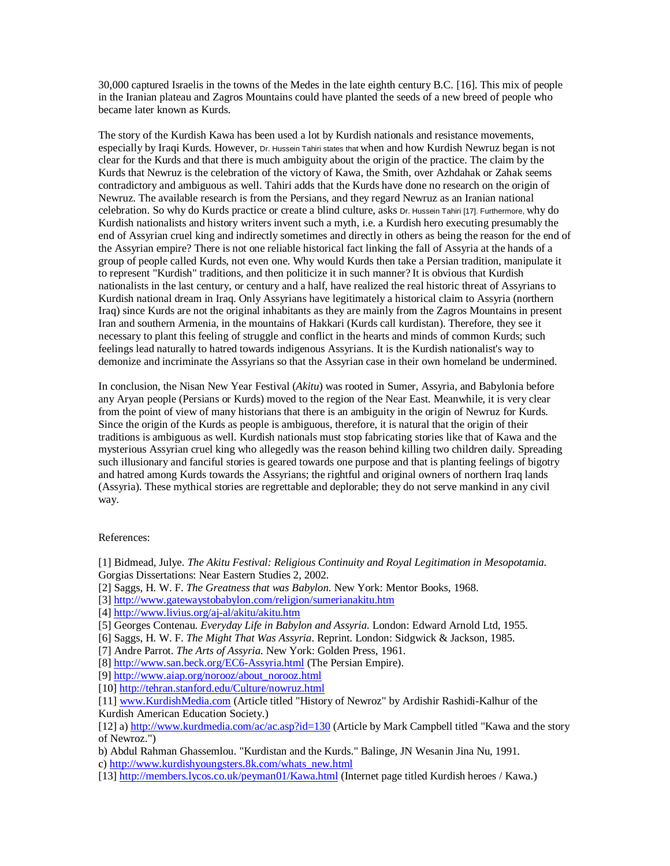30,000 captured Israelis in the towns of the Medes in the late eighth century B.C. [16]. This mix of people in the Iranian plateau and Zagros Mountains could have planted the seeds of a new breed of people who became later known as Kurds.

The story of the Kurdish Kawa has been used a lot by Kurdish nationals and resistance movements, especially by Iraqi Kurds. However, Dr. Hussein Tahiri states that when and how Kurdish Newruz began is not clear for the Kurds and that there is much ambiguity about the origin of the practice. The claim by the Kurds that Newruz is the celebration of the victory of Kawa, the Smith, over Azhdahak or Zahak seems contradictory and ambiguous as well. Tahiri adds that the Kurds have done no research on the origin of Newruz. The available research is from the Persians, and they regard Newruz as an Iranian national celebration. So why do Kurds practice or create a blind culture, asks Dr. Hussein Tahiri [17]. Furthermore, why do Kurdish nationalists and history writers invent such a myth, i.e. a Kurdish hero executing presumably the end of Assyrian cruel king and indirectly sometimes and directly in others as being the reason for the end of the Assyrian empire? There is not one reliable historical fact linking the fall of Assyria at the hands of a group of people called Kurds, not even one. Why would Kurds then take a Persian tradition, manipulate it to represent "Kurdish" traditions, and then politicize it in such manner? It is obvious that Kurdish nationalists in the last century, or century and a half, have realized the real historic threat of Assyrians to Kurdish national dream in Iraq. Only Assyrians have legitimately a historical claim to Assyria (northern Iraq) since Kurds are not the original inhabitants as they are mainly from the Zagros Mountains in present Iran and southern Armenia, in the mountains of Hakkari (Kurds call kurdistan). Therefore, they see it necessary to plant this feeling of struggle and conflict in the hearts and minds of common Kurds; such feelings lead naturally to hatred towards indigenous Assyrians. It is the Kurdish nationalist's way to demonize and incriminate the Assyrians so that the Assyrian case in their own homeland be undermined.

In conclusion, the Nisan New Year Festival (*Akitu*) was rooted in Sumer, Assyria, and Babylonia before any Aryan people (Persians or Kurds) moved to the region of the Near East. Meanwhile, it is very clear from the point of view of many historians that there is an ambiguity in the origin of Newruz for Kurds. Since the origin of the Kurds as people is ambiguous, therefore, it is natural that the origin of their traditions is ambiguous as well. Kurdish nationals must stop fabricating stories like that of Kawa and the mysterious Assyrian cruel king who allegedly was the reason behind killing two children daily. Spreading such illusionary and fanciful stories is geared towards one purpose and that is planting feelings of bigotry and hatred among Kurds towards the Assyrians; the rightful and original owners of northern Iraq lands (Assyria). These mythical stories are regrettable and deplorable; they do not serve mankind in any civil way.

## References:

- [2] Saggs, H. W. F. *The Greatness that was Babylon*. New York: Mentor Books, 1968.
- [3] http://www.gatewaystobabylon.com/religion/sumerianakitu.htm
- [4] http://www.livius.org/aj-al/akitu/akitu.htm
- [5] Georges Contenau. *Everyday Life in Babylon and Assyria*. London: Edward Arnold Ltd, 1955.
- [6] Saggs, H. W. F. *The Might That Was Assyria*. Reprint. London: Sidgwick & Jackson, 1985.
- [7] Andre Parrot. *The Arts of Assyria*. New York: Golden Press, 1961.

- [9] http://www.aiap.org/norooz/about\_norooz.html
- [10] http://tehran.stanford.edu/Culture/nowruz.html

[11] www.KurdishMedia.com (Article titled "History of Newroz" by Ardishir Rashidi-Kalhur of the Kurdish American Education Society.)

b) Abdul Rahman Ghassemlou. "Kurdistan and the Kurds." Balinge, JN Wesanin Jina Nu, 1991.

c) http://www.kurdishyoungsters.8k.com/whats\_new.html

[13] http://members.lycos.co.uk/peyman01/Kawa.html (Internet page titled Kurdish heroes / Kawa.)

<sup>[1]</sup> Bidmead, Julye. *The Akitu Festival: Religious Continuity and Royal Legitimation in Mesopotamia.* Gorgias Dissertations: Near Eastern Studies 2, 2002.

<sup>[8]</sup> http://www.san.beck.org/EC6-Assyria.html (The Persian Empire).

<sup>[12]</sup> a) http://www.kurdmedia.com/ac/ac.asp?id=130 (Article by Mark Campbell titled "Kawa and the story of Newroz.")